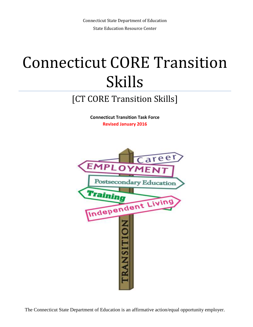## Connecticut CORE Transition Skills

## [CT CORE Transition Skills]

 **Connecticut Transition Task Force Revised January 2016** 



The Connecticut State Department of Education is an affirmative action/equal opportunity employer.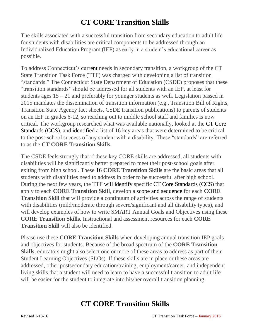## **CT CORE Transition Skills**

 for students with disabilities are critical components to be addressed through an Individualized Education Program (IEP) as early in a student's educational career as The skills associated with a successful transition from secondary education to adult life possible.

 To address Connecticut's current needs in secondary transition, a workgroup of the CT State Transition Task Force (TTF) was charged with developing a list of transition "transition standards" should be addressed for all students with an IEP, at least for students ages  $15 - 21$  and preferably for younger students as well. Legislation passed in Transition State Agency fact sheets, CSDE transition publications) to parents of students Standards (CCS), and identified a list of 16 key areas that were determined to be critical to as the **CT CORE Transition Skills.**  "standards." The Connecticut State Department of Education (CSDE) proposes that these 2015 mandates the dissemination of transition information (e.g., Transition Bill of Rights, on an IEP in grades 6-12, so reaching out to middle school staff and families is now critical. The workgroup researched what was available nationally, looked at the CT Core to the post-school success of any student with a disability. These "standards" are referred

 The CSDE feels strongly that if these key CORE skills are addressed, all students with exiting from high school. These 16 **CORE Transition Skills** are the basic areas that all students with disabilities need to address in order to be successful after high school. During the next few years, the TTF will identify specific CT Core Standards (CCS) that apply to each **CORE Transition Skill**, develop a scope and sequence for each **CORE**  with disabilities (mild/moderate through severe/significant and all disability types), and will develop examples of how to write SMART Annual Goals and Objectives using these **Transition Skill** will also be identified. disabilities will be significantly better prepared to meet their post-school goals after **Transition Skill** that will provide a continuum of activities across the range of students **CORE Transition Skills.** Instructional and assessment resources for each **CORE** 

 Please use these **CORE Transition Skills** when developing annual transition IEP goals and objectives for students. Because of the broad spectrum of the **CORE Transition Skills**, educators might also select one or more of these areas to address as part of their addressed, other postsecondary education/training, employment/career, and independent living skills that a student will need to learn to have a successful transition to adult life will be easier for the student to integrate into his/her overall transition planning. Student Learning Objectives (SLOs). If these skills are in place or these areas are

## **CT CORE Transition Skills**